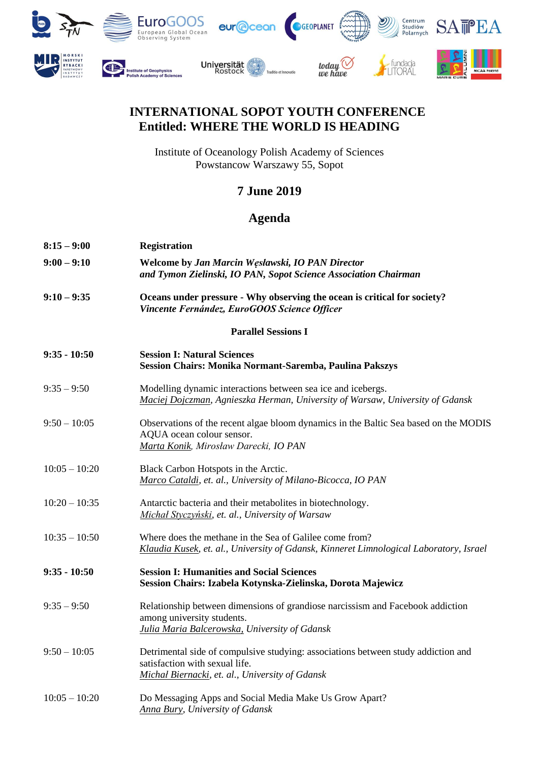

## **INTERNATIONAL SOPOT YOUTH CONFERENCE Entitled: WHERE THE WORLD IS HEADING**

Institute of Oceanology Polish Academy of Sciences Powstancow Warszawy 55, Sopot

## **7 June 2019**

## **Agenda**

| $8:15 - 9:00$   | <b>Registration</b>                                                                                                                                                    |
|-----------------|------------------------------------------------------------------------------------------------------------------------------------------------------------------------|
| $9:00 - 9:10$   | Welcome by Jan Marcin Węsławski, IO PAN Director<br>and Tymon Zielinski, IO PAN, Sopot Science Association Chairman                                                    |
| $9:10 - 9:35$   | Oceans under pressure - Why observing the ocean is critical for society?<br>Vincente Fernández, EuroGOOS Science Officer                                               |
|                 | <b>Parallel Sessions I</b>                                                                                                                                             |
| $9:35 - 10:50$  | <b>Session I: Natural Sciences</b><br>Session Chairs: Monika Normant-Saremba, Paulina Pakszys                                                                          |
| $9:35 - 9:50$   | Modelling dynamic interactions between sea ice and icebergs.<br>Maciej Dojczman, Agnieszka Herman, University of Warsaw, University of Gdansk                          |
| $9:50 - 10:05$  | Observations of the recent algae bloom dynamics in the Baltic Sea based on the MODIS<br>AQUA ocean colour sensor.<br>Marta Konik, Mirosław Darecki, IO PAN             |
| $10:05 - 10:20$ | Black Carbon Hotspots in the Arctic.<br>Marco Cataldi, et. al., University of Milano-Bicocca, IO PAN                                                                   |
| $10:20 - 10:35$ | Antarctic bacteria and their metabolites in biotechnology.<br>Michał Styczyński, et. al., University of Warsaw                                                         |
| $10:35 - 10:50$ | Where does the methane in the Sea of Galilee come from?<br>Klaudia Kusek, et. al., University of Gdansk, Kinneret Limnological Laboratory, Israel                      |
| $9:35 - 10:50$  | <b>Session I: Humanities and Social Sciences</b><br>Session Chairs: Izabela Kotynska-Zielinska, Dorota Majewicz                                                        |
| $9:35 - 9:50$   | Relationship between dimensions of grandiose narcissism and Facebook addiction<br>among university students.<br>Julia Maria Balcerowska, University of Gdansk          |
| $9:50 - 10:05$  | Detrimental side of compulsive studying: associations between study addiction and<br>satisfaction with sexual life.<br>Michał Biernacki, et. al., University of Gdansk |
| $10:05 - 10:20$ | Do Messaging Apps and Social Media Make Us Grow Apart?<br><b>Anna Bury</b> , University of Gdansk                                                                      |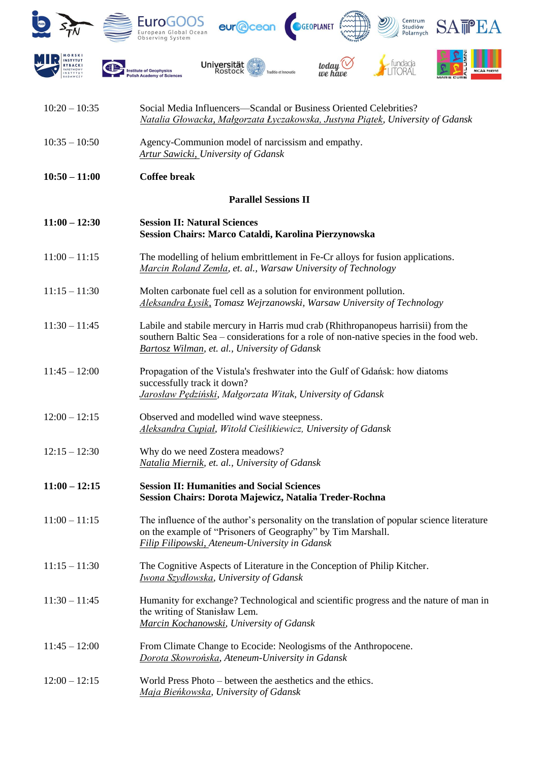

| $10:20 - 10:35$ | Social Media Influencers-Scandal or Business Oriented Celebrities?<br>Natalia Głowacka, Małgorzata Łyczakowska, Justyna Piątek, University of Gdansk                                                                         |
|-----------------|------------------------------------------------------------------------------------------------------------------------------------------------------------------------------------------------------------------------------|
| $10:35 - 10:50$ | Agency-Communion model of narcissism and empathy.<br><b>Artur Sawicki, University of Gdansk</b>                                                                                                                              |
| $10:50 - 11:00$ | <b>Coffee break</b>                                                                                                                                                                                                          |
|                 | <b>Parallel Sessions II</b>                                                                                                                                                                                                  |
| $11:00 - 12:30$ | <b>Session II: Natural Sciences</b><br>Session Chairs: Marco Cataldi, Karolina Pierzynowska                                                                                                                                  |
| $11:00 - 11:15$ | The modelling of helium embrittlement in Fe-Cr alloys for fusion applications.<br>Marcin Roland Zemła, et. al., Warsaw University of Technology                                                                              |
| $11:15 - 11:30$ | Molten carbonate fuel cell as a solution for environment pollution.<br>Aleksandra Łysik, Tomasz Wejrzanowski, Warsaw University of Technology                                                                                |
| $11:30 - 11:45$ | Labile and stabile mercury in Harris mud crab (Rhithropanopeus harrisii) from the<br>southern Baltic Sea – considerations for a role of non-native species in the food web.<br>Bartosz Wilman, et. al., University of Gdansk |
| $11:45 - 12:00$ | Propagation of the Vistula's freshwater into the Gulf of Gdańsk: how diatoms<br>successfully track it down?<br>Jarosław Pędziński, Małgorzata Witak, University of Gdansk                                                    |
| $12:00 - 12:15$ | Observed and modelled wind wave steepness.<br>Aleksandra Cupiał, Witold Cieślikiewicz, University of Gdansk                                                                                                                  |
| $12:15 - 12:30$ | Why do we need Zostera meadows?<br>Natalia Miernik, et. al., University of Gdansk                                                                                                                                            |
| $11:00 - 12:15$ | <b>Session II: Humanities and Social Sciences</b><br>Session Chairs: Dorota Majewicz, Natalia Treder-Rochna                                                                                                                  |
| $11:00 - 11:15$ | The influence of the author's personality on the translation of popular science literature<br>on the example of "Prisoners of Geography" by Tim Marshall.<br>Filip Filipowski, Ateneum-University in Gdansk                  |
| $11:15 - 11:30$ | The Cognitive Aspects of Literature in the Conception of Philip Kitcher.<br>Iwona Szydłowska, University of Gdansk                                                                                                           |
| $11:30 - 11:45$ | Humanity for exchange? Technological and scientific progress and the nature of man in<br>the writing of Stanisław Lem.<br>Marcin Kochanowski, University of Gdansk                                                           |
| $11:45 - 12:00$ | From Climate Change to Ecocide: Neologisms of the Anthropocene.<br>Dorota Skowrońska, Ateneum-University in Gdansk                                                                                                           |
| $12:00 - 12:15$ | World Press Photo – between the aesthetics and the ethics.<br>Maja Bieńkowska, University of Gdansk                                                                                                                          |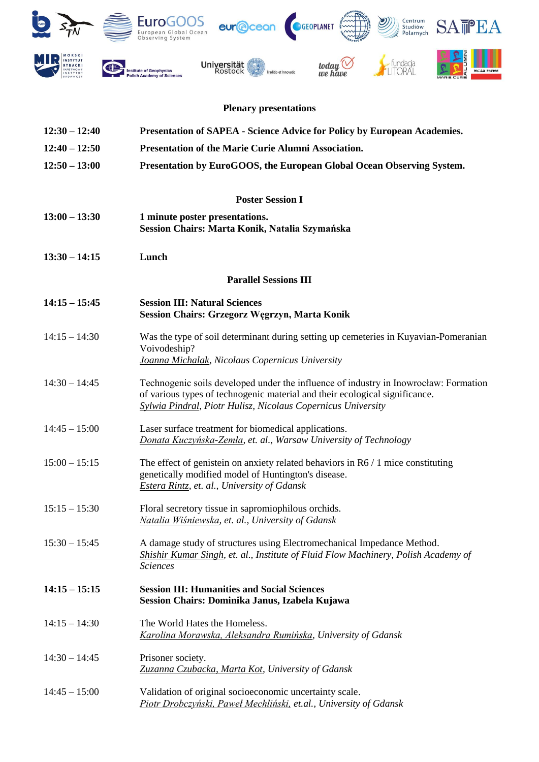

## **Plenary presentations**

| $12:30 - 12:40$ | <b>Presentation of SAPEA - Science Advice for Policy by European Academies.</b>                                                                                                                                                            |
|-----------------|--------------------------------------------------------------------------------------------------------------------------------------------------------------------------------------------------------------------------------------------|
| $12:40 - 12:50$ | Presentation of the Marie Curie Alumni Association.                                                                                                                                                                                        |
| $12:50 - 13:00$ | Presentation by EuroGOOS, the European Global Ocean Observing System.                                                                                                                                                                      |
|                 | <b>Poster Session I</b>                                                                                                                                                                                                                    |
| $13:00 - 13:30$ | 1 minute poster presentations.<br>Session Chairs: Marta Konik, Natalia Szymańska                                                                                                                                                           |
| $13:30 - 14:15$ | Lunch                                                                                                                                                                                                                                      |
|                 | <b>Parallel Sessions III</b>                                                                                                                                                                                                               |
| $14:15 - 15:45$ | <b>Session III: Natural Sciences</b><br><b>Session Chairs: Grzegorz Węgrzyn, Marta Konik</b>                                                                                                                                               |
| $14:15 - 14:30$ | Was the type of soil determinant during setting up cemeteries in Kuyavian-Pomeranian<br>Voivodeship?<br>Joanna Michalak, Nicolaus Copernicus University                                                                                    |
| $14:30 - 14:45$ | Technogenic soils developed under the influence of industry in Inowrocław: Formation<br>of various types of technogenic material and their ecological significance.<br><b>Sylwia Pindral, Piotr Hulisz, Nicolaus Copernicus University</b> |
| $14:45 - 15:00$ | Laser surface treatment for biomedical applications.<br>Donata Kuczyńska-Zemła, et. al., Warsaw University of Technology                                                                                                                   |
| $15:00 - 15:15$ | The effect of genistein on anxiety related behaviors in $R6/1$ mice constituting<br>genetically modified model of Huntington's disease.<br><b>Estera Rintz, et. al., University of Gdansk</b>                                              |
| $15:15 - 15:30$ | Floral secretory tissue in sapromiophilous orchids.<br>Natalia Wiśniewska, et. al., University of Gdansk                                                                                                                                   |
| $15:30 - 15:45$ | A damage study of structures using Electromechanical Impedance Method.<br>Shishir Kumar Singh, et. al., Institute of Fluid Flow Machinery, Polish Academy of<br><b>Sciences</b>                                                            |
| $14:15 - 15:15$ | <b>Session III: Humanities and Social Sciences</b><br>Session Chairs: Dominika Janus, Izabela Kujawa                                                                                                                                       |
| $14:15 - 14:30$ | The World Hates the Homeless.<br>Karolina Morawska, Aleksandra Rumińska, University of Gdansk                                                                                                                                              |
| $14:30 - 14:45$ | Prisoner society.<br>Zuzanna Czubacka, Marta Kot, University of Gdansk                                                                                                                                                                     |
| $14:45 - 15:00$ | Validation of original socioeconomic uncertainty scale.<br>Piotr Drobczyński, Paweł Mechliński, et.al., University of Gdansk                                                                                                               |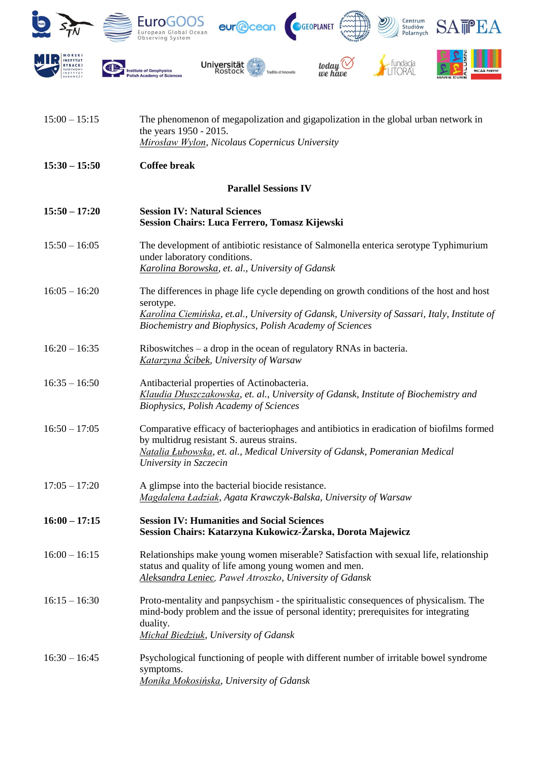

| $15:00 - 15:15$ | The phenomenon of megapolization and gigapolization in the global urban network in<br>the years 1950 - 2015.<br>Mirosław Wylon, Nicolaus Copernicus University                                                                                                  |
|-----------------|-----------------------------------------------------------------------------------------------------------------------------------------------------------------------------------------------------------------------------------------------------------------|
| $15:30 - 15:50$ | <b>Coffee break</b>                                                                                                                                                                                                                                             |
|                 | <b>Parallel Sessions IV</b>                                                                                                                                                                                                                                     |
| $15:50 - 17:20$ | <b>Session IV: Natural Sciences</b><br>Session Chairs: Luca Ferrero, Tomasz Kijewski                                                                                                                                                                            |
| $15:50 - 16:05$ | The development of antibiotic resistance of Salmonella enterica serotype Typhimurium<br>under laboratory conditions.<br>Karolina Borowska, et. al., University of Gdansk                                                                                        |
| $16:05 - 16:20$ | The differences in phage life cycle depending on growth conditions of the host and host<br>serotype.<br>Karolina Ciemińska, et.al., University of Gdansk, University of Sassari, Italy, Institute of<br>Biochemistry and Biophysics, Polish Academy of Sciences |
| $16:20 - 16:35$ | $Riboswitehes - a drop in the ocean of regulatory RNAs in bacteria.$<br><b>Katarzyna Ścibek, University of Warsaw</b>                                                                                                                                           |
| $16:35 - 16:50$ | Antibacterial properties of Actinobacteria.<br>Klaudia Dłuszczakowska, et. al., University of Gdansk, Institute of Biochemistry and<br><b>Biophysics, Polish Academy of Sciences</b>                                                                            |
| $16:50 - 17:05$ | Comparative efficacy of bacteriophages and antibiotics in eradication of biofilms formed<br>by multidrug resistant S. aureus strains.<br>Natalia Łubowska, et. al., Medical University of Gdansk, Pomeranian Medical<br>University in Szczecin                  |
| $17:05 - 17:20$ | A glimpse into the bacterial biocide resistance.<br>Magdalena Ładziak, Agata Krawczyk-Balska, University of Warsaw                                                                                                                                              |
| $16:00 - 17:15$ | <b>Session IV: Humanities and Social Sciences</b><br>Session Chairs: Katarzyna Kukowicz-Żarska, Dorota Majewicz                                                                                                                                                 |
| $16:00 - 16:15$ | Relationships make young women miserable? Satisfaction with sexual life, relationship<br>status and quality of life among young women and men.<br>Aleksandra Leniec, Paweł Atroszko, University of Gdansk                                                       |
| $16:15 - 16:30$ | Proto-mentality and panpsychism - the spiritualistic consequences of physicalism. The<br>mind-body problem and the issue of personal identity; prerequisites for integrating<br>duality.<br><b>Michał Biedziuk, University of Gdansk</b>                        |
| $16:30 - 16:45$ | Psychological functioning of people with different number of irritable bowel syndrome<br>symptoms.<br>Monika Mokosińska, University of Gdansk                                                                                                                   |